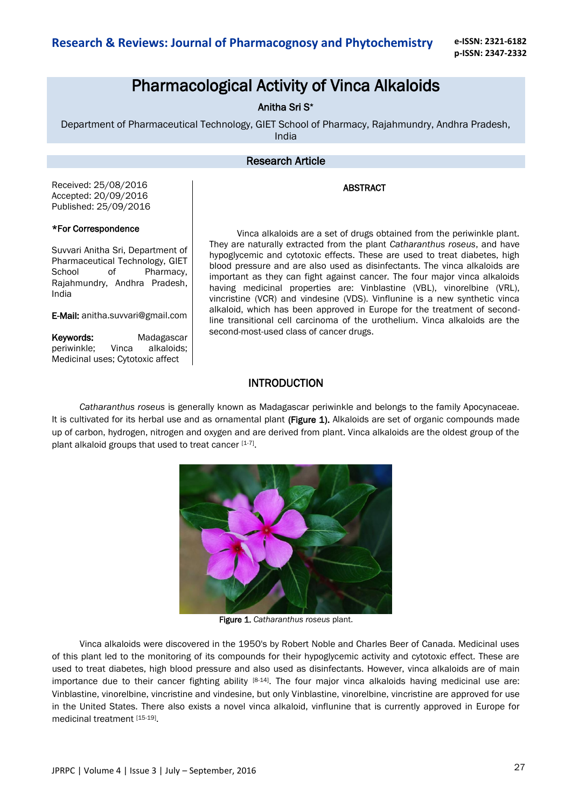**e-ISSN: 2321-6182 p-ISSN: 2347-2332**

# Pharmacological Activity of Vinca Alkaloids

Anitha Sri S\*

Department of Pharmaceutical Technology, GIET School of Pharmacy, Rajahmundry, Andhra Pradesh, India

### Research Article

ABSTRACT

Received: 25/08/2016 Accepted: 20/09/2016 Published: 25/09/2016

### \*For Correspondence

Suvvari Anitha Sri, Department of Pharmaceutical Technology, GIET School of Pharmacy, Rajahmundry, Andhra Pradesh, India

E-Mail: anitha.suvvari@gmail.com

Keywords: Madagascar periwinkle; Vinca alkaloids; Medicinal uses; Cytotoxic affect

Vinca alkaloids are a set of drugs obtained from the periwinkle plant. They are naturally extracted from the plant *Catharanthus roseus*, and have hypoglycemic and cytotoxic effects. These are used to treat diabetes, high blood pressure and are also used as disinfectants. The vinca alkaloids are important as they can fight against cancer. The four major vinca alkaloids having medicinal properties are: Vinblastine (VBL), vinorelbine (VRL), vincristine (VCR) and vindesine (VDS). Vinflunine is a new synthetic vinca alkaloid, which has been approved in Europe for the treatment of secondline transitional cell carcinoma of the urothelium. Vinca alkaloids are the second-most-used class of cancer drugs.

### INTRODUCTION

*Catharanthus roseus* is generally known as Madagascar periwinkle and belongs to the family Apocynaceae. It is cultivated for its herbal use and as ornamental plant (Figure 1). Alkaloids are set of organic compounds made up of carbon, hydrogen, nitrogen and oxygen and are derived from plant. Vinca alkaloids are the oldest group of the plant alkaloid groups that used to treat cancer [1-7].



Figure 1. *Catharanthus roseus* plant.

Vinca alkaloids were discovered in the 1950's by Robert Noble and Charles Beer of Canada. Medicinal uses of this plant led to the monitoring of its compounds for their hypoglycemic activity and cytotoxic effect. These are used to treat diabetes, high blood pressure and also used as disinfectants. However, vinca alkaloids are of main importance due to their cancer fighting ability [8-14]. The four major vinca alkaloids having medicinal use are: Vinblastine, vinorelbine, vincristine and vindesine, but only Vinblastine, vinorelbine, vincristine are approved for use in the United States. There also exists a novel vinca alkaloid, vinflunine that is currently approved in Europe for medicinal treatment [15-19].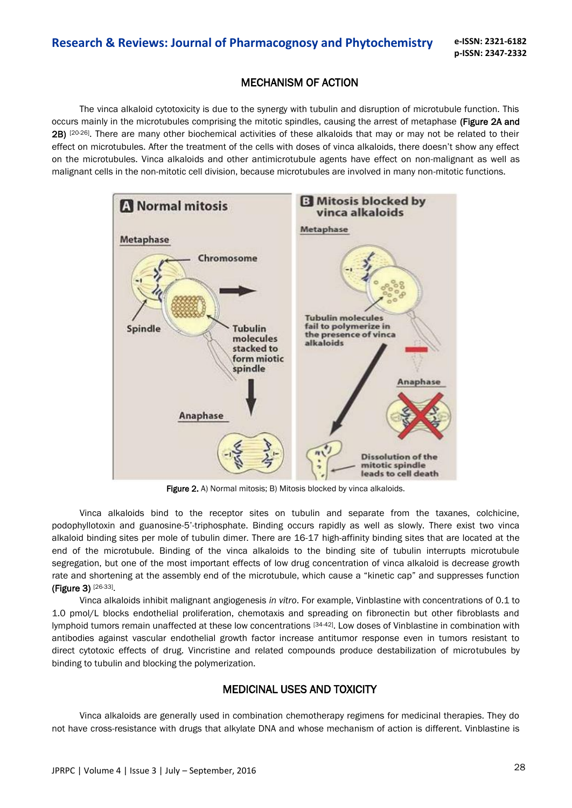## MECHANISM OF ACTION

The vinca alkaloid cytotoxicity is due to the synergy with tubulin and disruption of microtubule function. This occurs mainly in the microtubules comprising the mitotic spindles, causing the arrest of metaphase (Figure 2A and 2B) [20-26]. There are many other biochemical activities of these alkaloids that may or may not be related to their effect on microtubules. After the treatment of the cells with doses of vinca alkaloids, there doesn't show any effect on the microtubules. Vinca alkaloids and other antimicrotubule agents have effect on non-malignant as well as malignant cells in the non-mitotic cell division, because microtubules are involved in many non-mitotic functions.



Figure 2. A) Normal mitosis; B) Mitosis blocked by vinca alkaloids.

Vinca alkaloids bind to the receptor sites on tubulin and separate from the taxanes, colchicine, podophyllotoxin and guanosine-5'-triphosphate. Binding occurs rapidly as well as slowly. There exist two vinca alkaloid binding sites per mole of tubulin dimer. There are 16-17 high-affinity binding sites that are located at the end of the microtubule. Binding of the vinca alkaloids to the binding site of tubulin interrupts microtubule segregation, but one of the most important effects of low drug concentration of vinca alkaloid is decrease growth rate and shortening at the assembly end of the microtubule, which cause a "kinetic cap" and suppresses function (Figure 3) [26-33].

Vinca alkaloids inhibit malignant angiogenesis *in vitro*. For example, Vinblastine with concentrations of 0.1 to 1.0 pmol/L blocks endothelial proliferation, chemotaxis and spreading on fibronectin but other fibroblasts and lymphoid tumors remain unaffected at these low concentrations [34-42]. Low doses of Vinblastine in combination with antibodies against vascular endothelial growth factor increase antitumor response even in tumors resistant to direct cytotoxic effects of drug. Vincristine and related compounds produce destabilization of microtubules by binding to tubulin and blocking the polymerization.

### MEDICINAL USES AND TOXICITY

Vinca alkaloids are generally used in combination chemotherapy regimens for medicinal therapies. They do not have cross-resistance with drugs that alkylate DNA and whose mechanism of action is different. Vinblastine is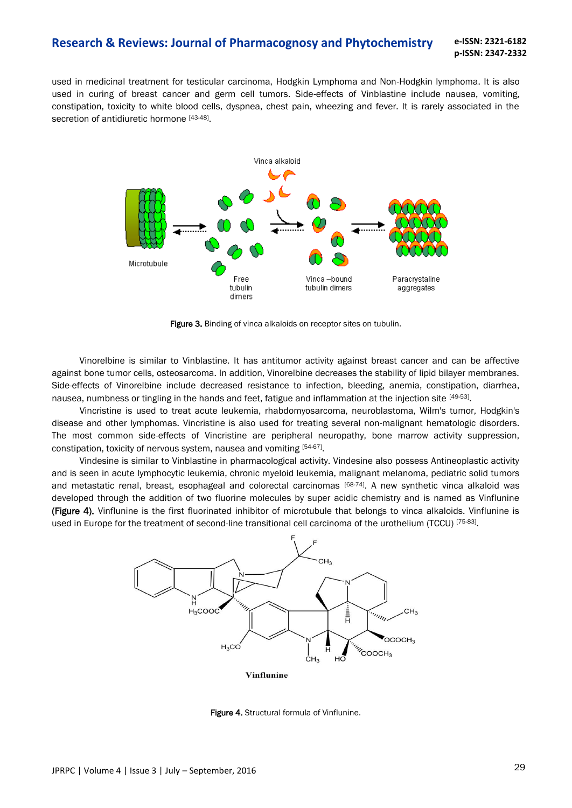used in medicinal treatment for testicular carcinoma, Hodgkin Lymphoma and Non-Hodgkin lymphoma. It is also used in curing of breast cancer and germ cell tumors. Side-effects of Vinblastine include nausea, vomiting, constipation, toxicity to white blood cells, dyspnea, chest pain, wheezing and fever. It is rarely associated in the secretion of antidiuretic hormone [43-48].



Figure 3. Binding of vinca alkaloids on receptor sites on tubulin.

Vinorelbine is similar to Vinblastine. It has antitumor activity against breast cancer and can be affective against bone tumor cells, osteosarcoma. In addition, Vinorelbine decreases the stability of lipid bilayer membranes. Side-effects of Vinorelbine include decreased resistance to infection, bleeding, anemia, constipation, diarrhea, nausea, numbness or tingling in the hands and feet, fatigue and inflammation at the injection site <sup>[49-53]</sup>.

Vincristine is used to treat acute leukemia, rhabdomyosarcoma, neuroblastoma, Wilm's tumor, Hodgkin's disease and other lymphomas. Vincristine is also used for treating several non-malignant hematologic disorders. The most common side-effects of Vincristine are peripheral neuropathy, bone marrow activity suppression, constipation, toxicity of nervous system, nausea and vomiting [54-67].

Vindesine is similar to Vinblastine in pharmacological activity. Vindesine also possess Antineoplastic activity and is seen in acute lymphocytic leukemia, chronic myeloid leukemia, malignant melanoma, pediatric solid tumors and metastatic renal, breast, esophageal and colorectal carcinomas [68-74]. A new synthetic vinca alkaloid was developed through the addition of two fluorine molecules by super acidic chemistry and is named as Vinflunine (Figure 4). Vinflunine is the first fluorinated inhibitor of microtubule that belongs to vinca alkaloids. Vinflunine is used in Europe for the treatment of second-line transitional cell carcinoma of the urothelium (TCCU) [75-83].



Figure 4. Structural formula of Vinflunine.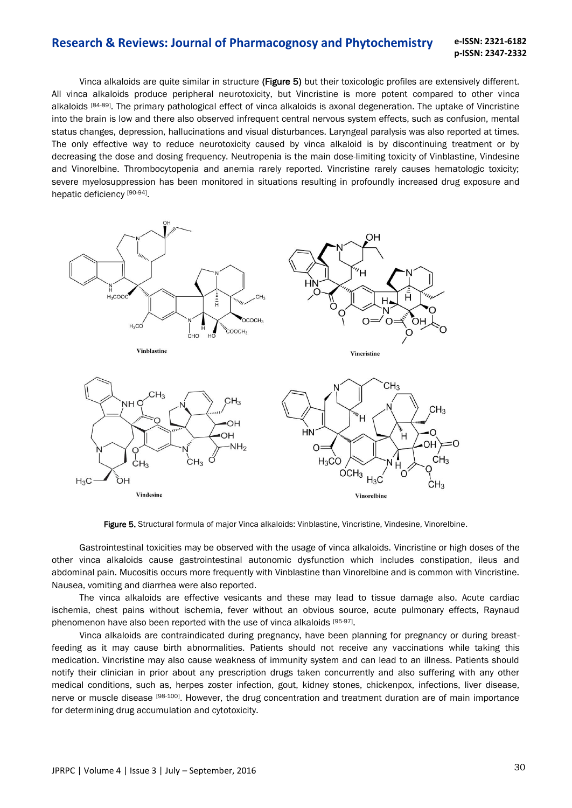Vinca alkaloids are quite similar in structure (Figure 5) but their toxicologic profiles are extensively different. All vinca alkaloids produce peripheral neurotoxicity, but Vincristine is more potent compared to other vinca alkaloids <sup>[84-89]</sup>. The primary pathological effect of vinca alkaloids is axonal degeneration. The uptake of Vincristine into the brain is low and there also observed infrequent central nervous system effects, such as confusion, mental status changes, depression, hallucinations and visual disturbances. Laryngeal paralysis was also reported at times. The only effective way to reduce neurotoxicity caused by vinca alkaloid is by discontinuing treatment or by decreasing the dose and dosing frequency. Neutropenia is the main dose-limiting toxicity of Vinblastine, Vindesine and Vinorelbine. Thrombocytopenia and anemia rarely reported. Vincristine rarely causes hematologic toxicity; severe myelosuppression has been monitored in situations resulting in profoundly increased drug exposure and hepatic deficiency [90-94].



Figure 5. Structural formula of major Vinca alkaloids: Vinblastine, Vincristine, Vindesine, Vinorelbine.

Gastrointestinal toxicities may be observed with the usage of vinca alkaloids. Vincristine or high doses of the other vinca alkaloids cause gastrointestinal autonomic dysfunction which includes constipation, ileus and abdominal pain. Mucositis occurs more frequently with Vinblastine than Vinorelbine and is common with Vincristine. Nausea, vomiting and diarrhea were also reported.

The vinca alkaloids are effective vesicants and these may lead to tissue damage also. Acute cardiac ischemia, chest pains without ischemia, fever without an obvious source, acute pulmonary effects, Raynaud phenomenon have also been reported with the use of vinca alkaloids [95-97].

Vinca alkaloids are contraindicated during pregnancy, have been planning for pregnancy or during breastfeeding as it may cause birth abnormalities. Patients should not receive any vaccinations while taking this medication. Vincristine may also cause weakness of immunity system and can lead to an illness. Patients should notify their clinician in prior about any prescription drugs taken concurrently and also suffering with any other medical conditions, such as, herpes zoster infection, gout, kidney stones, chickenpox, infections, liver disease, nerve or muscle disease [98-100]. However, the drug concentration and treatment duration are of main importance for determining drug accumulation and cytotoxicity.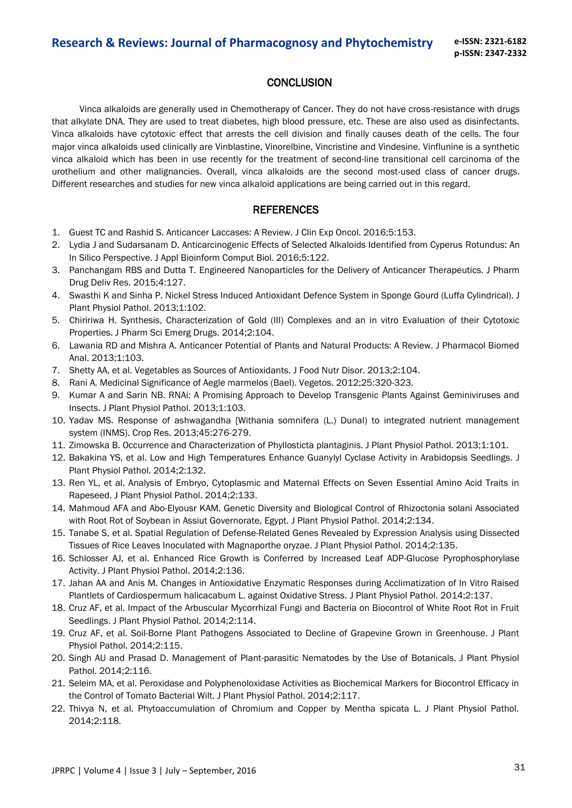## **CONCLUSION**

Vinca alkaloids are generally used in Chemotherapy of Cancer. They do not have cross-resistance with drugs that alkylate DNA. They are used to treat diabetes, high blood pressure, etc. These are also used as disinfectants. Vinca alkaloids have cytotoxic effect that arrests the cell division and finally causes death of the cells. The four major vinca alkaloids used clinically are Vinblastine, Vinorelbine, Vincristine and Vindesine. Vinflunine is a synthetic vinca alkaloid which has been in use recently for the treatment of second-line transitional cell carcinoma of the urothelium and other malignancies. Overall, vinca alkaloids are the second most-used class of cancer drugs. Different researches and studies for new vinca alkaloid applications are being carried out in this regard.

### **REFERENCES**

- 1. Guest TC and Rashid S. Anticancer Laccases: A Review. J Clin Exp Oncol. 2016;5:153.
- 2. Lydia J and Sudarsanam D. Anticarcinogenic Effects of Selected Alkaloids Identified from Cyperus Rotundus: An In Silico Perspective. J Appl Bioinform Comput Biol. 2016;5:122.
- 3. Panchangam RBS and Dutta T. Engineered Nanoparticles for the Delivery of Anticancer Therapeutics. J Pharm Drug Deliv Res. 2015;4:127.
- 4. Swasthi K and Sinha P. Nickel Stress Induced Antioxidant Defence System in Sponge Gourd (Luffa Cylindrical). J Plant Physiol Pathol. 2013;1:102.
- 5. Chiririwa H. Synthesis, Characterization of Gold (III) Complexes and an in vitro Evaluation of their Cytotoxic Properties. J Pharm Sci Emerg Drugs. 2014;2:104.
- 6. Lawania RD and Mishra A. Anticancer Potential of Plants and Natural Products: A Review. J Pharmacol Biomed Anal. 2013;1:103.
- 7. Shetty AA, et al. Vegetables as Sources of Antioxidants. J Food Nutr Disor. 2013;2:104.
- 8. Rani A. Medicinal Significance of Aegle marmelos (Bael). Vegetos. 2012;25:320-323.
- 9. Kumar A and Sarin NB. RNAi: A Promising Approach to Develop Transgenic Plants Against Geminiviruses and Insects. J Plant Physiol Pathol. 2013;1:103.
- 10. Yadav MS. Response of ashwagandha [Withania somnifera (L.) Dunal) to integrated nutrient management system (INMS). Crop Res. 2013;45:276-279.
- 11. Zimowska B. Occurrence and Characterization of Phyllosticta plantaginis. J Plant Physiol Pathol. 2013;1:101.
- 12. Bakakina YS, et al. Low and High Temperatures Enhance Guanylyl Cyclase Activity in Arabidopsis Seedlings. J Plant Physiol Pathol. 2014;2:132.
- 13. Ren YL, et al. Analysis of Embryo, Cytoplasmic and Maternal Effects on Seven Essential Amino Acid Traits in Rapeseed. J Plant Physiol Pathol. 2014;2:133.
- 14. Mahmoud AFA and Abo-Elyousr KAM. Genetic Diversity and Biological Control of Rhizoctonia solani Associated with Root Rot of Soybean in Assiut Governorate, Egypt. J Plant Physiol Pathol. 2014;2:134.
- 15. Tanabe S, et al. Spatial Regulation of Defense-Related Genes Revealed by Expression Analysis using Dissected Tissues of Rice Leaves Inoculated with Magnaporthe oryzae. J Plant Physiol Pathol. 2014;2:135.
- 16. Schlosser AJ, et al. Enhanced Rice Growth is Conferred by Increased Leaf ADP-Glucose Pyrophosphorylase Activity. J Plant Physiol Pathol. 2014;2:136.
- 17. Jahan AA and Anis M. Changes in Antioxidative Enzymatic Responses during Acclimatization of In Vitro Raised Plantlets of Cardiospermum halicacabum L. against Oxidative Stress. J Plant Physiol Pathol. 2014;2:137.
- 18. Cruz AF, et al. Impact of the Arbuscular Mycorrhizal Fungi and Bacteria on Biocontrol of White Root Rot in Fruit Seedlings. J Plant Physiol Pathol. 2014;2:114.
- 19. Cruz AF, et al. Soil-Borne Plant Pathogens Associated to Decline of Grapevine Grown in Greenhouse. J Plant Physiol Pathol. 2014;2:115.
- 20. Singh AU and Prasad D. Management of Plant-parasitic Nematodes by the Use of Botanicals. J Plant Physiol Pathol. 2014;2:116.
- 21. Seleim MA, et al. Peroxidase and Polyphenoloxidase Activities as Biochemical Markers for Biocontrol Efficacy in the Control of Tomato Bacterial Wilt. J Plant Physiol Pathol. 2014;2:117.
- 22. Thivya N, et al. Phytoaccumulation of Chromium and Copper by Mentha spicata L. J Plant Physiol Pathol. 2014;2:118.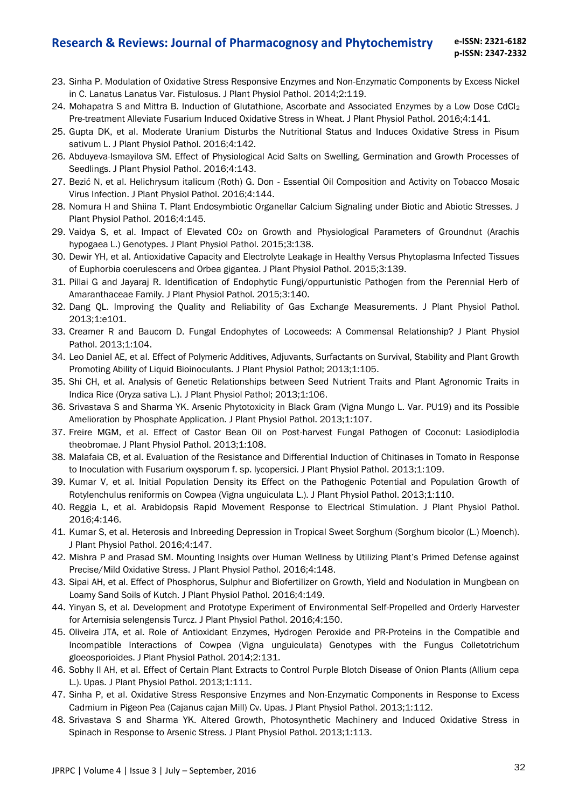#### **Research & Reviews: Journal of Pharmacognosy and Phytochemistry e-ISSN: 2321-6182**

- **p-ISSN: 2347-2332**
- 23. Sinha P. Modulation of Oxidative Stress Responsive Enzymes and Non-Enzymatic Components by Excess Nickel in C. Lanatus Lanatus Var. Fistulosus. J Plant Physiol Pathol. 2014;2:119.
- 24. Mohapatra S and Mittra B. Induction of Glutathione, Ascorbate and Associated Enzymes by a Low Dose CdCl<sup>2</sup> Pre-treatment Alleviate Fusarium Induced Oxidative Stress in Wheat. J Plant Physiol Pathol. 2016;4:141.
- 25. Gupta DK, et al. Moderate Uranium Disturbs the Nutritional Status and Induces Oxidative Stress in Pisum sativum L. J Plant Physiol Pathol. 2016;4:142.
- 26. Abduyeva-Ismayilova SM. Effect of Physiological Acid Salts on Swelling, Germination and Growth Processes of Seedlings. J Plant Physiol Pathol. 2016;4:143.
- 27. Bezić N, et al. Helichrysum italicum (Roth) G. Don Essential Oil Composition and Activity on Tobacco Mosaic Virus Infection. J Plant Physiol Pathol. 2016;4:144.
- 28. Nomura H and Shiina T. Plant Endosymbiotic Organellar Calcium Signaling under Biotic and Abiotic Stresses. J Plant Physiol Pathol. 2016;4:145.
- 29. Vaidya S, et al. Impact of Elevated CO<sub>2</sub> on Growth and Physiological Parameters of Groundnut (Arachis hypogaea L.) Genotypes. J Plant Physiol Pathol. 2015;3:138.
- 30. Dewir YH, et al. Antioxidative Capacity and Electrolyte Leakage in Healthy Versus Phytoplasma Infected Tissues of Euphorbia coerulescens and Orbea gigantea. J Plant Physiol Pathol. 2015;3:139.
- 31. Pillai G and Jayaraj R. Identification of Endophytic Fungi/oppurtunistic Pathogen from the Perennial Herb of Amaranthaceae Family. J Plant Physiol Pathol. 2015;3:140.
- 32. Dang QL. Improving the Quality and Reliability of Gas Exchange Measurements. J Plant Physiol Pathol. 2013;1:e101.
- 33. Creamer R and Baucom D. Fungal Endophytes of Locoweeds: A Commensal Relationship? J Plant Physiol Pathol. 2013;1:104.
- 34. Leo Daniel AE, et al. Effect of Polymeric Additives, Adjuvants, Surfactants on Survival, Stability and Plant Growth Promoting Ability of Liquid Bioinoculants. J Plant Physiol Pathol; 2013;1:105.
- 35. Shi CH, et al. Analysis of Genetic Relationships between Seed Nutrient Traits and Plant Agronomic Traits in Indica Rice (Oryza sativa L.). J Plant Physiol Pathol; 2013;1:106.
- 36. Srivastava S and Sharma YK. Arsenic Phytotoxicity in Black Gram (Vigna Mungo L. Var. PU19) and its Possible Amelioration by Phosphate Application. J Plant Physiol Pathol. 2013;1:107.
- 37. Freire MGM, et al. Effect of Castor Bean Oil on Post-harvest Fungal Pathogen of Coconut: Lasiodiplodia theobromae. J Plant Physiol Pathol. 2013;1:108.
- 38. Malafaia CB, et al. Evaluation of the Resistance and Differential Induction of Chitinases in Tomato in Response to Inoculation with Fusarium oxysporum f. sp. lycopersici. J Plant Physiol Pathol. 2013;1:109.
- 39. Kumar V, et al. Initial Population Density its Effect on the Pathogenic Potential and Population Growth of Rotylenchulus reniformis on Cowpea (Vigna unguiculata L.). J Plant Physiol Pathol. 2013;1:110.
- 40. Reggia L, et al. Arabidopsis Rapid Movement Response to Electrical Stimulation. J Plant Physiol Pathol. 2016;4:146.
- 41. Kumar S, et al. Heterosis and Inbreeding Depression in Tropical Sweet Sorghum (Sorghum bicolor (L.) Moench). J Plant Physiol Pathol. 2016;4:147.
- 42. Mishra P and Prasad SM. Mounting Insights over Human Wellness by Utilizing Plant's Primed Defense against Precise/Mild Oxidative Stress. J Plant Physiol Pathol. 2016;4:148.
- 43. Sipai AH, et al. Effect of Phosphorus, Sulphur and Biofertilizer on Growth, Yield and Nodulation in Mungbean on Loamy Sand Soils of Kutch. J Plant Physiol Pathol. 2016;4:149.
- 44. Yinyan S, et al. Development and Prototype Experiment of Environmental Self-Propelled and Orderly Harvester for Artemisia selengensis Turcz. J Plant Physiol Pathol. 2016;4:150.
- 45. Oliveira JTA, et al. Role of Antioxidant Enzymes, Hydrogen Peroxide and PR-Proteins in the Compatible and Incompatible Interactions of Cowpea (Vigna unguiculata) Genotypes with the Fungus Colletotrichum gloeosporioides. J Plant Physiol Pathol. 2014;2:131.
- 46. Sobhy II AH, et al. Effect of Certain Plant Extracts to Control Purple Blotch Disease of Onion Plants (Allium cepa L.). Upas. J Plant Physiol Pathol. 2013;1:111.
- 47. Sinha P, et al. Oxidative Stress Responsive Enzymes and Non-Enzymatic Components in Response to Excess Cadmium in Pigeon Pea (Cajanus cajan Mill) Cv. Upas. J Plant Physiol Pathol. 2013;1:112.
- 48. Srivastava S and Sharma YK. Altered Growth, Photosynthetic Machinery and Induced Oxidative Stress in Spinach in Response to Arsenic Stress. J Plant Physiol Pathol. 2013;1:113.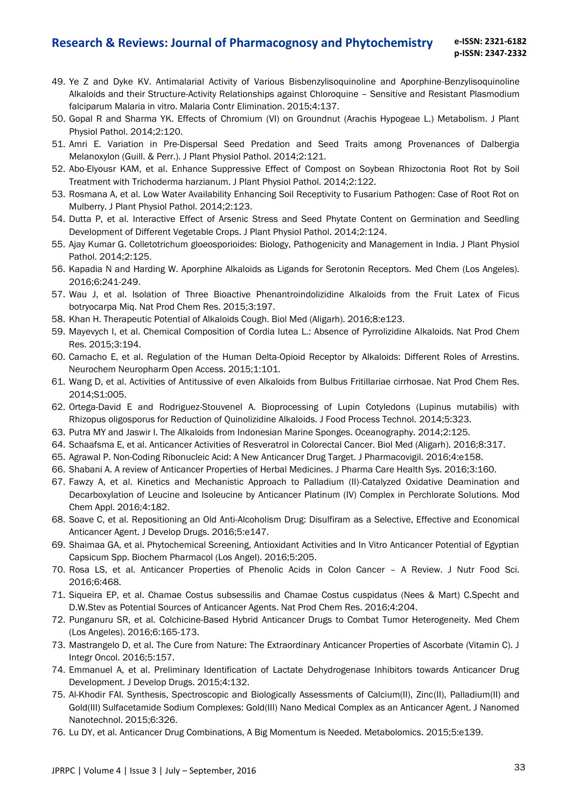- 49. Ye Z and Dyke KV. Antimalarial Activity of Various Bisbenzylisoquinoline and Aporphine-Benzylisoquinoline Alkaloids and their Structure-Activity Relationships against Chloroquine – Sensitive and Resistant Plasmodium falciparum Malaria in vitro. Malaria Contr Elimination. 2015;4:137.
- 50. Gopal R and Sharma YK. Effects of Chromium (VI) on Groundnut (Arachis Hypogeae L.) Metabolism. J Plant Physiol Pathol. 2014;2:120.
- 51. Amri E. Variation in Pre-Dispersal Seed Predation and Seed Traits among Provenances of Dalbergia Melanoxylon (Guill. & Perr.). J Plant Physiol Pathol. 2014;2:121.
- 52. Abo-Elyousr KAM, et al. Enhance Suppressive Effect of Compost on Soybean Rhizoctonia Root Rot by Soil Treatment with Trichoderma harzianum. J Plant Physiol Pathol. 2014;2:122.
- 53. Rosmana A, et al. Low Water Availability Enhancing Soil Receptivity to Fusarium Pathogen: Case of Root Rot on Mulberry. J Plant Physiol Pathol. 2014;2:123.
- 54. Dutta P, et al. Interactive Effect of Arsenic Stress and Seed Phytate Content on Germination and Seedling Development of Different Vegetable Crops. J Plant Physiol Pathol. 2014;2:124.
- 55. Ajay Kumar G. Colletotrichum gloeosporioides: Biology, Pathogenicity and Management in India. J Plant Physiol Pathol. 2014;2:125.
- 56. Kapadia N and Harding W. Aporphine Alkaloids as Ligands for Serotonin Receptors. Med Chem (Los Angeles). 2016;6:241-249.
- 57. Wau J, et al. Isolation of Three Bioactive Phenantroindolizidine Alkaloids from the Fruit Latex of Ficus botryocarpa Miq. Nat Prod Chem Res. 2015;3:197.
- 58. Khan H. Therapeutic Potential of Alkaloids Cough. Biol Med (Aligarh). 2016;8:e123.
- 59. Mayevych I, et al. Chemical Composition of Cordia lutea L.: Absence of Pyrrolizidine Alkaloids. Nat Prod Chem Res. 2015;3:194.
- 60. Camacho E, et al. Regulation of the Human Delta-Opioid Receptor by Alkaloids: Different Roles of Arrestins. Neurochem Neuropharm Open Access. 2015;1:101.
- 61. Wang D, et al. Activities of Antitussive of even Alkaloids from Bulbus Fritillariae cirrhosae. Nat Prod Chem Res. 2014;S1:005.
- 62. Ortega-David E and Rodriguez-Stouvenel A. Bioprocessing of Lupin Cotyledons (Lupinus mutabilis) with Rhizopus oligosporus for Reduction of Quinolizidine Alkaloids. J Food Process Technol. 2014;5:323.
- 63. Putra MY and Jaswir I. The Alkaloids from Indonesian Marine Sponges. Oceanography. 2014;2:125.
- 64. Schaafsma E, et al. Anticancer Activities of Resveratrol in Colorectal Cancer. Biol Med (Aligarh). 2016;8:317.
- 65. Agrawal P. Non-Coding Ribonucleic Acid: A New Anticancer Drug Target. J Pharmacovigil. 2016;4:e158.
- 66. Shabani A. A review of Anticancer Properties of Herbal Medicines. J Pharma Care Health Sys. 2016;3:160.
- 67. Fawzy A, et al. Kinetics and Mechanistic Approach to Palladium (II)-Catalyzed Oxidative Deamination and Decarboxylation of Leucine and Isoleucine by Anticancer Platinum (IV) Complex in Perchlorate Solutions. Mod Chem Appl. 2016;4:182.
- 68. Soave C, et al. Repositioning an Old Anti-Alcoholism Drug: Disulfiram as a Selective, Effective and Economical Anticancer Agent. J Develop Drugs. 2016;5:e147.
- 69. Shaimaa GA, et al. Phytochemical Screening, Antioxidant Activities and In Vitro Anticancer Potential of Egyptian Capsicum Spp. Biochem Pharmacol (Los Angel). 2016;5:205.
- 70. Rosa LS, et al. Anticancer Properties of Phenolic Acids in Colon Cancer A Review. J Nutr Food Sci. 2016;6:468.
- 71. Siqueira EP, et al. Chamae Costus subsessilis and Chamae Costus cuspidatus (Nees & Mart) C.Specht and D.W.Stev as Potential Sources of Anticancer Agents. Nat Prod Chem Res. 2016;4:204.
- 72. Punganuru SR, et al. Colchicine-Based Hybrid Anticancer Drugs to Combat Tumor Heterogeneity. Med Chem (Los Angeles). 2016;6:165-173.
- 73. Mastrangelo D, et al. The Cure from Nature: The Extraordinary Anticancer Properties of Ascorbate (Vitamin C). J Integr Oncol. 2016;5:157.
- 74. Emmanuel A, et al. Preliminary Identification of Lactate Dehydrogenase Inhibitors towards Anticancer Drug Development. J Develop Drugs. 2015;4:132.
- 75. Al-Khodir FAI. Synthesis, Spectroscopic and Biologically Assessments of Calcium(II), Zinc(II), Palladium(II) and Gold(III) Sulfacetamide Sodium Complexes: Gold(III) Nano Medical Complex as an Anticancer Agent. J Nanomed Nanotechnol. 2015;6:326.
- 76. Lu DY, et al. Anticancer Drug Combinations, A Big Momentum is Needed. Metabolomics. 2015;5:e139.